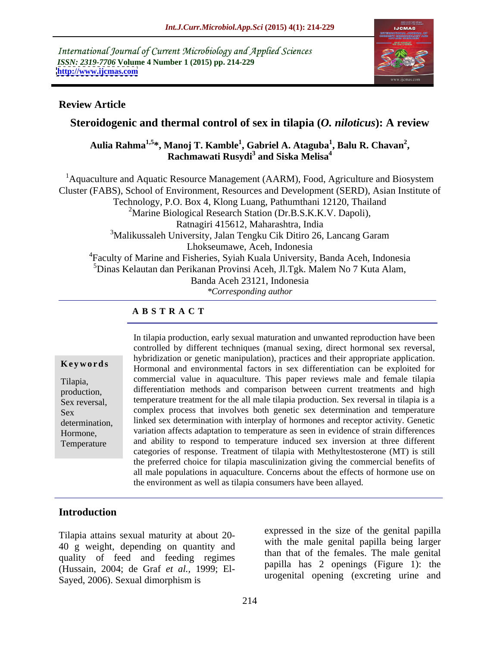International Journal of Current Microbiology and Applied Sciences *ISSN: 2319-7706* **Volume 4 Number 1 (2015) pp. 214-229 <http://www.ijcmas.com>**



### **Review Article**

# **Steroidogenic and thermal control of sex in tilapia (***O. niloticus***): A review**

Aulia Rahma<sup>1,5</sup>\*, Manoj T. Kamble<sup>1</sup>, Gabriel A. Ataguba<sup>1</sup>, Balu R. Chavan<sup>2</sup>,<br>Rachmawati Rusydi<sup>3</sup> and Siska Melisa<sup>4</sup> **, Balu R. Chavan<sup>2</sup> and Siska Melisa4**

<sup>1</sup> Aquaculture and Aquatic Resource Management (AARM), Food, Agriculture and Biosystem Cluster (FABS), School of Environment, Resources and Development (SERD), Asian Institute of Technology, P.O. Box 4, Klong Luang, Pathumthani 12120, Thailand <sup>2</sup>Marine Biological Research Station (Dr.B.S.K.K.V. Dapoli), Ratnagiri 415612, Maharashtra, India 3Malikussaleh University, Jalan Tengku Cik Ditiro 26, Lancang Garam Lhokseumawe, Aceh, Indonesia 4Faculty of Marine and Fisheries, Syiah Kuala University, Banda Aceh, Indonesia  $^5$ Dinas Kelautan dan Perikanan Provinsi Aceh, Jl.Tgk. Malem No 7 Kuta Alam,<br>Banda Aceh 23121. Indonesia *\*Corresponding author*

### **A B S T R A C T**

Temperature

In tilapia production, early sexual maturation and unwanted reproduction have been controlled by different techniques (manual sexing, direct hormonal sex reversal, hybridization or genetic manipulation), practices and their appropriate application. Hormonal and environmental factors in sex differentiation can be exploited for **Ke ywo rds** commercial value in aquaculture. This paper reviews male and female tilapia Tilapia, differentiation methods and comparison between current treatments and high production, Sex reversal, temperature treatment for the all male tilapia production. Sex reversal in tilapia is a complex process that involves both genetic sex determination and temperature Sex determination, linked sex determination with interplay of hormones and receptor activity. Genetic variation affects adaptation to temperature as seen in evidence of strain differences Hormone, and ability to respond to temperature induced sex inversion at three different categories of response. Treatment of tilapia with Methyltestosterone (MT) is still the preferred choice for tilapia masculinization giving the commercial benefits of all male populations in aquaculture. Concerns about the effects of hormone use on the environment as well as tilapia consumers have been allayed.

# **Introduction**

Tilapia attains sexual maturity at about 20- 40 g weight, depending on quantity and quality of feed and feeding regimes (Hussain, 2004; de Graf *et al.,* 1999; El- Sayed, 2006). Sexual dimorphism is

expressed in the size of the genital papilla with the male genital papilla being larger than that of the females. The male genital papilla has 2 openings (Figure 1): the urogenital opening (excreting urine and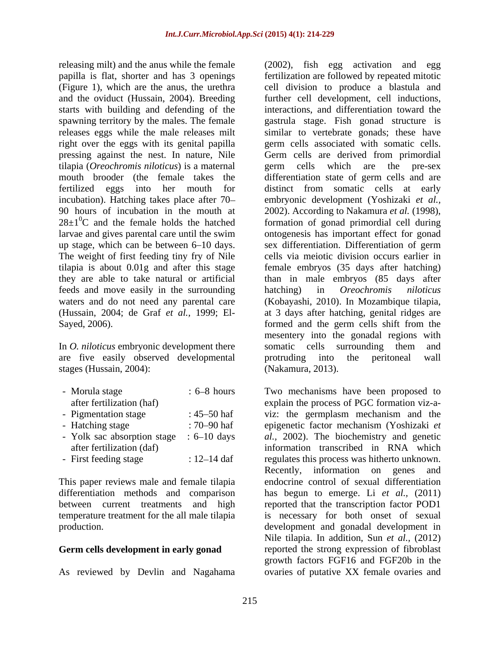releasing milt) and the anus while the female (2002), fish egg activation and egg starts with building and defending of the right over the eggs with its genital papilla pressing against the nest. In nature, Nile tilapia (*Oreochromis niloticus*) is a maternal up stage, which can be between 6–10 days. Sex differentiation. Differentiation of germ The weight of first feeding tiny fry of Nile tilapia is about 0.01g and after this stage feeds and move easily in the surrounding hatching) in *Oreochromis niloticus* 

In *O. niloticus* embryonic development there somatic cells surrounding them and are five easily observed developmental stages (Hussain, 2004):

| - Morula stage              | $: 6 - 8$ hours    |
|-----------------------------|--------------------|
| after fertilization (haf)   |                    |
| - Pigmentation stage        | : $45 - 50$ haf    |
| - Hatching stage            | : 70–90 haf        |
| - Yolk sac absorption stage | $\div 6 - 10$ days |
| after fertilization (daf)   |                    |
| - First feeding stage       | : $12 - 14$ daf    |

This paper reviews male and female tilapia

As reviewed by Devlin and Nagahama ovaries of putative XX female ovaries and

papilla is flat, shorter and has 3 openings fertilization are followed by repeated mitotic (Figure 1), which are the anus, the urethra cell division to produce a blastula and and the oviduct (Hussain, 2004). Breeding further cell development, cell inductions, spawning territory by the males. The female gastrula stage. Fish gonad structure is releases eggs while the male releases milt similar to vertebrate gonads; these have mouth brooder (the female takes the differentiation state of germ cells and are fertilized eggs into her mouth for distinct from somatic cells at early incubation). Hatching takes place after 70- embryonic development (Yoshizaki *et al.,* 90 hours of incubation in the mouth at 2002). According to Nakamura *et al.* (1998),  $28\pm1\textsuperscript{0}C$  and the female holds the hatched formation of gonad primordial cell during larvae and gives parental care until the swim ontogenesis has important effect for gonad they are able to take natural or artificial than in male embryos (85 days after waters and do not need any parental care (Kobayashi, 2010). In Mozambique tilapia*,* (Hussain, 2004; de Graf *et al.,* 1999; El- at 3 days after hatching, genital ridges are Sayed, 2006). formed and the germ cells shift from the interactions, and differentiation toward the germ cells associated with somatic cells. Germ cells are derived from primordial germ cells which are the pre-sex sex differentiation. Differentiation of germ cells via meiotic division occurs earlier in female embryos (35 days after hatching) hatching) in *Oreochromis niloticus* mesentery into the gonadal regions with somatic cells surrounding them and protruding into the peritoneal wall (Nakamura, 2013).

- Morula stage : 6–8 hours Two mechanisms have been proposed to explain the process of PGC formation viz-a-- Pigmentation stage : 45–50 haf viz: the germplasm mechanism and the - Hatching stage : 70–90 haf epigenetic factor mechanism (Yoshizaki *et* - Yolk sac absorption stage : 6–10 days al., 2002). The biochemistry and genetic after fertilization (daf) information transcribed in RNA which - First feeding stage  $\therefore$  12–14 daf regulates this process was hitherto unknown. differentiation methods and comparison has begun to emerge. Li *et al.,* (2011) between current treatments and high reported that the transcription factor POD1 temperature treatment for the all male tilapia is necessary for both onset of sexual production. development and gonadal development in Germ cells development in early gonad reported the strong expression of fibroblast Two mechanisms have been proposed to explain the process of PGC formation viz-a- Recently, information on genes and endocrine control of sexual differentiation Nile tilapia. In addition, Sun *et al.,* (2012) growth factors FGF16 and FGF20b in the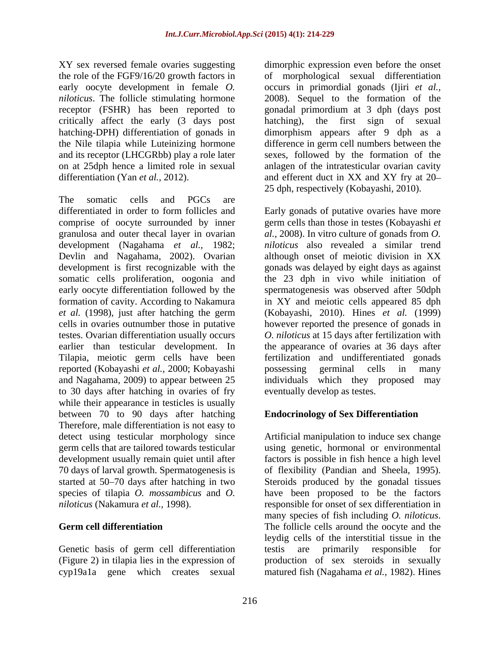XY sex reversed female ovaries suggesting dimorphic expression even before the onset the role of the FGF9/16/20 growth factors in of morphological sexual differentiation early oocyte development in female *O.*  occurs in primordial gonads (Ijiri *et al., niloticus*. The follicle stimulating hormone 2008). Sequel to the formation of the receptor (FSHR) has been reported to gonadal primordium at 3 dph (days post critically affect the early (3 days post hatching-DPH) differentiation of gonads in dimorphism appears after 9 dph as a the Nile tilapia while Luteinizing hormone difference in germ cell numbers between the and its receptor (LHCGRbb) play a role later sexes, followed by the formation of the on at 25dph hence a limited role in sexual anlagen of the intratesticular ovarian cavity differentiation (Yan *et al.*, 2012). The and efferent duct in XX and XY fry at 20–

The somatic cells and PGCs are development (Nagahama *et al.,* 1982; Devlin and Nagahama, 2002). Ovarian *et al.* (1998), just after hatching the germ earlier than testicular development. In Tilapia, meiotic germ cells have been reported (Kobayashi *et al.,* 2000; Kobayashi and Nagahama, 2009) to appear between 25 to 30 days after hatching in ovaries of fry while their appearance in testicles is usually between 70 to 90 days after hatching Therefore, male differentiation is not easy to development usually remain quiet until after 70 days of larval growth. Spermatogenesis is started at 50–70 days after hatching in two

Genetic basis of germ cell differentiation testis are primarily responsible for (Figure 2) in tilapia lies in the expression of

the first sign of sexual 25 dph, respectively (Kobayashi*,* 2010).

differentiated in order to form follicles and Early gonads of putative ovaries have more comprise of oocyte surrounded by inner germ cells than those in testes (Kobayashi *et*  granulosa and outer thecal layer in ovarian *al.,* 2008). In vitro culture of gonads from *O.*  development is first recognizable with the gonads was delayed by eight days as against somatic cells proliferation, oogonia and the 23 dph in vivo while initiation of early oocyte differentiation followed by the spermatogenesis was observed after 50dph formation of cavity. According to Nakamura in XY and meiotic cells appeared 85 dph cells in ovaries outnumber those in putative however reported the presence of gonads in testes. Ovarian differentiation usually occurs *O. niloticus* at 15 days after fertilization with *niloticus* also revealed a similar trend although onset of meiotic division in XX (Kobayashi, 2010). Hines *et al.* (1999) the appearance of ovaries at 36 days after fertilization and undifferentiated gonads possessing germinal cells in many individuals which they proposed may eventually develop as testes.

# **Endocrinology of Sex Differentiation**

detect using testicular morphology since Artificial manipulation to induce sex change germ cells that are tailored towards testicular using genetic, hormonal or environmental started at 50–70 days after hatching in two Steroids produced by the gonadal tissues species of tilapia *O. mossambicus* and *O.*  have been proposed to be the factors *niloticus* (Nakamura *et al.,* 1998). responsible for onset of sex differentiation in Germ cell differentiation The follicle cells around the oocyte and the cyp19a1a gene which creates sexual matured fish (Nagahama *et al.,* 1982). Hinesfactors is possible in fish hence a high level of flexibility (Pandian and Sheela, 1995). many species of fish including *O. niloticus*. The follicle cells around the oocyte and the leydig cells of the interstitial tissue in the testis are primarily responsible for production of sex steroids in sexually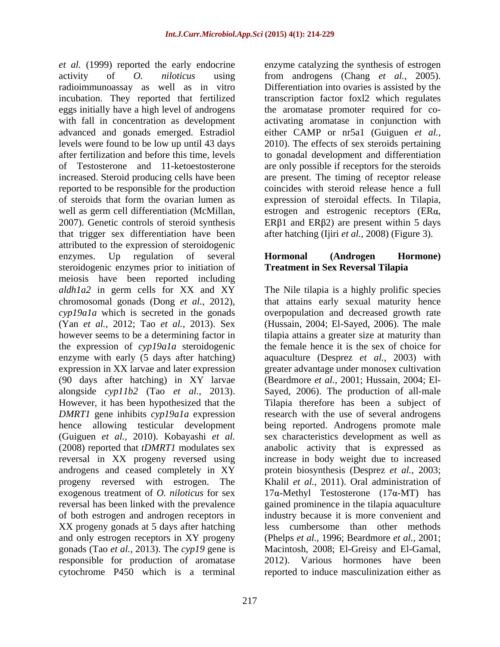activity of *O. niloticus* using from androgens (Chang *et al.,* 2005). radioimmunoassay as well as in vitro Differentiation into ovaries is assisted by the incubation. They reported that fertilized eggs initially have a high level of androgens the aromatase promoter required for co with fall in concentration as development activating aromatase in conjunction with advanced and gonads emerged. Estradiol either CAMP or nr5a1 (Guiguen *et al.,* levels were found to be low up until 43 days 2010). The effects of sex steroids pertaining after fertilization and before this time, levels to gonadal development and differentiation of Testosterone and 11-ketoestosterone are only possible if receptors for the steroids increased. Steroid producing cells have been are present. The timing of receptor release reported to be responsible for the production of steroids that form the ovarian lumen as expression of steroidal effects. In Tilapia, well as germ cell differentiation (McMillan, estrogen and estrogenic receptors (ERa, 2007). Genetic controls of steroid synthesis ER $\beta$ 1 and ER $\beta$ 2) are present within 5 days that trigger sex differentiation have been attributed to the expression of steroidogenic enzymes. Up regulation of several **Hormonal (Androgen Hormone)** steroidogenic enzymes prior to initiation of meiosis have been reported including (Yan *et al.,* 2012; Tao *et al.,* 2013). Sex the expression of *cyp19a1a* steroidogenic (90 days after hatching) in XY larvae androgens and ceased completely in XY of both estrogen and androgen receptors in XX progeny gonads at 5 days after hatching and only estrogen receptors in XY progeny

*et al.* (1999) reported the early endocrine enzyme catalyzing the synthesis of estrogen transcription factor foxl2 which regulates coincides with steroid release hence a full after hatching (Ijiri *et al.,* 2008) (Figure 3).

## **Hormonal (Androgen Hormone) Treatment in Sex Reversal Tilapia**

*aldh1a2* in germ cells for XX and XY The Nile tilapia is a highly prolific species chromosomal gonads (Dong *et al.,* 2012), that attains early sexual maturity hence *cyp19a1a* which is secreted in the gonads overpopulation and decreased growth rate however seems to be a determining factor in tilapia attains a greater size at maturity than enzyme with early (5 days after hatching) aquaculture (Desprez *et al.,* 2003) with expression in XX larvae and later expression greater advantage under monosex cultivation alongside *cyp11b2* (Tao *et al.,* 2013). Sayed, 2006). The production of all-male However, it has been hypothesized that the Tilapia therefore has been a subject of *DMRT1* gene inhibits *cyp19a1a* expression research with the use of several androgens hence allowing testicular development being reported. Androgens promote male (Guiguen *et al.,* 2010). Kobayashi *et al.* sex characteristics development as well as (2008) reported that *tDMRT1* modulates sex anabolic activity that is expressed as reversal in XX progeny reversed using increase in body weight due to increased progeny reversed with estrogen. The Khalil *et al.,* 2011). Oral administration of exogenous treatment of *O. niloticus* for sex  $17\alpha$ -Methyl Testosterone  $(17\alpha$ -MT) has reversal has been linked with the prevalence gained prominence in the tilapia aquaculture gonads (Tao *et al.,* 2013). The *cyp19* gene is Macintosh, 2008; El-Greisy and El-Gamal, responsible for production of aromatase 2012). Various hormones have been cytochrome P450 which is a terminal reported to induce masculinization either as(Hussain, 2004; El-Sayed, 2006). The male the female hence it is the sex of choice for (Beardmore *et al.,* 2001; Hussain, 2004; El protein biosynthesis (Desprez*et al.,* 2003; industry because it is more convenient and less cumbersome than other methods (Phelps *et al.,* 1996; Beardmore *et al.,* 2001;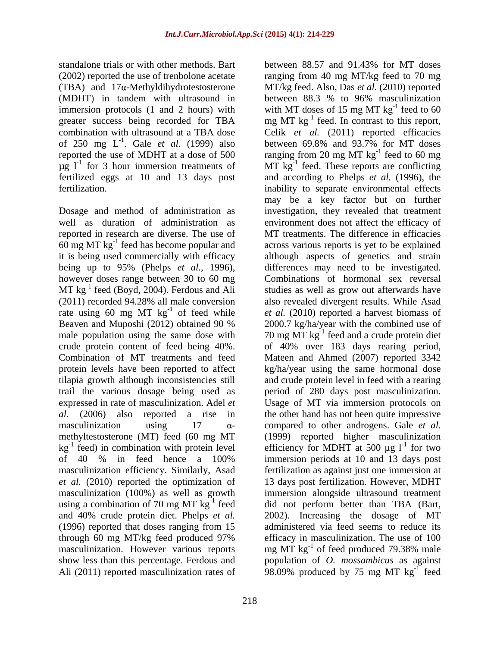standalone trials or with other methods. Bart between 88.57 and 91.43% for MT doses

Dosage and method of administration as 60 mg MT  $kg^{-1}$  feed has become popular and however doses range between 30 to 60 mg  $MT$  kg<sup>-1</sup> feed (Boyd, 2004). Ferdous and Ali male population using the same dose with using a combination of 70 mg MT  $kg^{-1}$  feed through 60 mg MT/kg feed produced 97% Ali (2011) reported masculinization rates of 98.09% produced by 75 mg MT kg<sup>-1</sup> feed

218

(2002) reported the use of trenbolone acetate ranging from 40 mg MT/kg feed to 70 mg (TBA) and 17α-Methyldihydrotestosterone MT/kg feed. Also, Das *et al.* (2010) reported (MDHT) in tandem with ultrasound in between 88.3 % to 96% masculinization immersion protocols (1 and 2 hours) with  $\mu$  with MT doses of 15 mg MT kg<sup>-1</sup> feed to 60 greater success being recorded for TBA mg MT kg<sup>-1</sup> feed. In contrast to this report, combination with ultrasound at a TBA dose Celik *et al.* (2011) reported efficacies of 250 mg  $L^{-1}$ . Gale *et al.* (1999) also between 69.8% and 93.7% for MT doses reported the use of MDHT at a dose of 500  $\frac{1}{2}$  ranging from 20 mg MT kg<sup>-1</sup> feed to 60 mg  $\mu$ g l<sup>-1</sup> for 3 hour immersion treatments of MT kg<sup>-1</sup> feed. These reports are conflicting fertilized eggs at 10 and 13 days post and according to Phelps *et al.* (1996), the fertilization. inability to separate environmental effects well as duration of administration as environment does not affect the efficacy of reported in research are diverse. The use of MT treatments. The difference in efficacies feed has become popular and across various reports is yet to be explained it is being used commercially with efficacy although aspects of genetics and strain being up to 95% (Phelps *et al.,* 1996), differences may need to be investigated. MT kg<sup>-1</sup> feed (Boyd, 2004). Ferdous and Ali studies as well as grow out afterwards have (2011) recorded 94.28% all male conversion also revealed divergent results. While Asad rate using 60 mg MT  $\text{kg}^{-1}$  of feed while *et al.* (2010) reported a harvest biomass of Beaven and Muposhi (2012) obtained 90 % 2000.7 kg/ha/year with the combined use of crude protein content of feed being 40%. of 40% over 183 days rearing period, Combination of MT treatments and feed Mateen and Ahmed (2007) reported 3342 protein levels have been reported to affect kg/ha/year using the same hormonal dose tilapia growth although inconsistencies still and crude protein level in feed with a rearing trail the various dosage being used as period of 280 days post masculinization. expressed in rate of masculinization. Adel *et*  Usage of MT via immersion protocols on *al.* (2006) also reported a rise in the other hand has not been quite impressive masculinization using  $17 \alpha$ - compared to other androgens. Gale *et al.* methyltestosterone (MT) feed (60 mg MT (1999) reported higher masculinization kg<sup>-1</sup> feed) in combination with protein level efficiency for MDHT at 500  $\mu$ g l<sup>-1</sup> for two of 40 % in feed hence a 100% masculinization efficiency. Similarly, Asad fertilization as against just one immersion at *et al.* (2010) reported the optimization of 13 days post fertilization. However, MDHT masculinization (100%) as well as growth immersion alongside ultrasound treatment <sup>-1</sup> feed did not perform better than TBA (Bart, and 40% crude protein diet. Phelps *et al.* 2002). Increasing the dosage of MT (1996) reported that doses ranging from 15 administered via feed seems to reduce its masculinization. However various reports mg MT  $\text{kg}^{-1}$  of feed produced 79.38% male show less than this percentage. Ferdous and population of *O. mossambicus* as against between 88.57 and 91.43% for MT doses  $-1$  food to 60 feed to 60  $^{-1}$  food to 60 mg feed to 60 mg may be a key factor but on further investigation, they revealed that treatment Combinations of hormonal sex reversal 2000.7 kg/ha/year with the combined use of 70 mg  $\text{MT}$  kg<sup>-1</sup> feed and a crude protein diet for two immersion periods at 10 and 13 days post efficacy in masculinization. The use of 100 of feed produced 79.38% male  $\frac{1}{2}$  food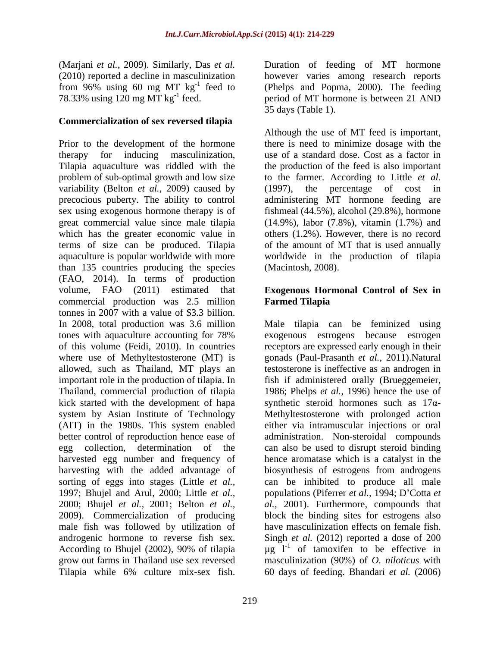(Marjani *et al.,* 2009). Similarly, Das *et al.*

## **Commercialization of sex reversed tilapia**

Prior to the development of the hormone there is need to minimize dosage with the therapy for inducing masculinization, use of a standard dose. Cost as a factor in Tilapia aquaculture was riddled with the problem of sub-optimal growth and low size to the farmer. According to Little *et al.* variability (Belton *et al.,* 2009) caused by precocious puberty. The ability to control sex using exogenous hormone therapy is of fishmeal (44.5%), alcohol (29.8%), hormone great commercial value since male tilapia (14.9%), labor (7.8%), vitamin (1.7%) and which has the greater economic value in terms of size can be produced. Tilapia of the amount of MT that is used annually aquaculture is popular worldwide with more worldwide in the production of tilapia than 135 countries producing the species (FAO, 2014). In terms of production volume, FAO (2011) estimated that **Exogenous Hormonal Control of Sex in** commercial production was 2.5 million tonnes in 2007 with a value of \$3.3 billion. In 2008, total production was 3.6 million Male tilapia can be feminized using tones with aquaculture accounting for 78% exogenous estrogens because estrogen of this volume (Feidi, 2010). In countries receptors are expressed early enough in their where use of Methyltestosterone (MT) is gonads (Paul-Prasanth *et al.,* 2011).Natural allowed, such as Thailand, MT plays an testosterone is ineffective as an androgen in important role in the production of tilapia. In fish if administered orally (Brueggemeier, Thailand, commercial production of tilapia 1986; Phelps et al., 1996) hence the use of kick started with the development of hapa synthetic steroid hormones such as  $17\alpha$ system by Asian Institute of Technology Methyltestosterone with prolonged action (AIT) in the 1980s. This system enabled better control of reproduction hence ease of administration. Non-steroidal compounds egg collection, determination of the can also be used to disrupt steroid binding harvested egg number and frequency of hence aromatase which is a catalyst in the harvesting with the added advantage of sorting of eggs into stages (Little *et al.,* can be inhibited to produce all male 1997; Bhujel and Arul, 2000; Little *et al.*, populations (Piferrer *et al.*, 1994; D'Cotta *et* 2000; Bhujel *et al.,* 2001; Belton *et al., al.,* 2001). Furthermore, compounds that 2009). Commercialization of producing block the binding sites for estrogens also male fish was followed by utilization of androgenic hormone to reverse fish sex. Singh *et al.* (2012) reported a dose of 200 According to Bhujel (2002), 90% of tilapia  $\mu$ g l<sup>-1</sup> of tamoxifen to be effective in grow out farms in Thailand use sex reversed masculinization (90%) of*O. niloticus* with (Map) in et al. 2009). Similarly, Das et al. That in The freeding of MT hormone (SOD). Including for a specific state of the product of feeding of the product of the second of the second of the second of the second of the

(2010) reported a decline in masculinization however varies among research reports from 96% using 60 mg MT  $kg^{-1}$  feed to (Phelps and Popma, 2000). The feeding 78.33% using 120 mg MT kg<sup>-1</sup> feed. period of MT hormone is between 21 AND 35 days (Table 1).

> Although the use of MT feed is important, the production of the feed is also important  $(1997)$ , the percentage of cost administering MT hormone feeding are others (1.2%). However, there is no record (Macintosh, 2008).

# **Farmed Tilapia**

fish if administered orally (Brueggemeier, 1986; Phelps *et al.,* 1996) hence the use of either via intramuscular injections or oral biosynthesis of estrogens from androgens have masculinization effects on female fish.  $\mu$ g  $I^{-1}$  of tamoxifen to be effective in 60 days of feeding. Bhandari *et al.* (2006)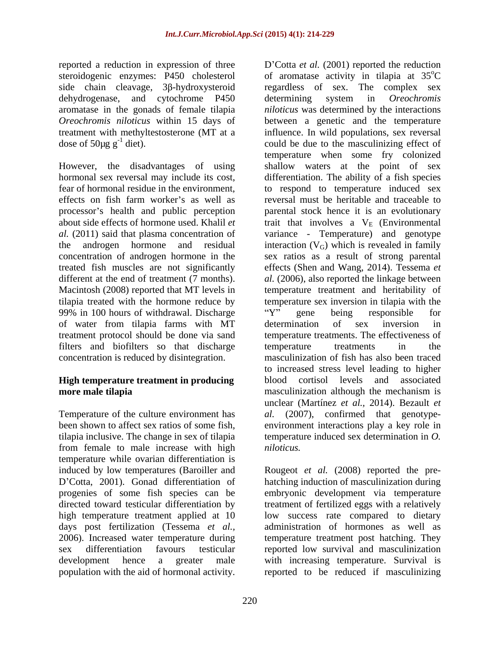dehydrogenase, and cytochrome P450 determining system in *Oreochromis* aromatase in the gonads of female tilapia

99% in 100 hours of withdrawal. Discharge "Y" gene being responsible for of water from tilapia farms with MT treatment protocol should be done via sand filters and biofilters so that discharge temperature treatments in the

# **High temperature treatment in producing** blood cortisol levels and associated

Temperature of the culture environment has *al.* been shown to affect sex ratios of some fish, tilapia inclusive. The change in sex of tilapia from female to male increase with high temperature while ovarian differentiation is high temperature treatment applied at 10

reported a reduction in expression of three D Cotta *et al.* (2001) reported the reduction steroidogenic enzymes: P450 cholesterol of aromatase activity in tilapia at 35<sup>o</sup>C side chain cleavage, 3β-hydroxysteroid regardless of sex. The complex sex *Oreochromis niloticus* within 15 days of between a genetic and the temperature treatment with methyltestosterone (MT at a influence. In wild populations, sex reversal dose of  $50\mu g g^{-1}$  diet). could be due to the masculinizing effect of However, the disadvantages of using shallow waters at the point of sex hormonal sex reversal may include its cost, differentiation. The ability of a fish species fear of hormonal residue in the environment, to respond to temperature induced sex effects on fish farm worker's as well as reversal must be heritable and traceable to processor's health and public perception parental stock hence it is an evolutionary about side effects of hormone used. Khalil *et* trait that involves a  $V_E$  (Environmental *al.* (2011) said that plasma concentration of variance - Temperature) and genotype the androgen hormone and residual interaction  $(V_G)$  which is revealed in family concentration of androgen hormone in the sex ratios as a result of strong parental treated fish muscles are not significantly effects(Shen and Wang, 2014). Tessema *et*  different at the end of treatment (7 months). *al.* (2006), also reported the linkage between Macintosh (2008) reported that MT levels in temperature treatment and heritability of tilapia treated with the hormone reduce by temperature sex inversion in tilapia with the concentration is reduced by disintegration. masculinization of fish has also been traced **more male tilapia** masculinization although the mechanism is  $\rm ^{o}C$ determining system in *Oreochromis niloticus* was determined by the interactions temperature when some fry colonized Y" gene being responsible for determination of sex inversion in temperature treatments. The effectiveness of temperature treatments in the to increased stress level leading to higher blood cortisol levels and associated unclear (Martínez *et al.,* 2014). Bezault *et al.* (2007), confirmed that genotype environment interactions play a key role in temperature induced sex determination in *O. niloticus.*

induced by low temperatures (Baroiller and Rougeot *et al.* (2008) reported the pre- D'Cotta, 2001). Gonad differentiation of hatching induction of masculinization during progenies of some fish species can be embryonic development via temperature directed toward testicular differentiation by treatment of fertilized eggs with a relatively days post fertilization (Tessema *et al.,* administration of hormones as well as 2006). Increased water temperature during temperature treatment post hatching. They sex differentiation favours testicular reported low survival and masculinization development hence a greater male with increasing temperature. Survival is population with the aid of hormonal activity. reported to be reduced if masculinizinglow success rate compared to dietary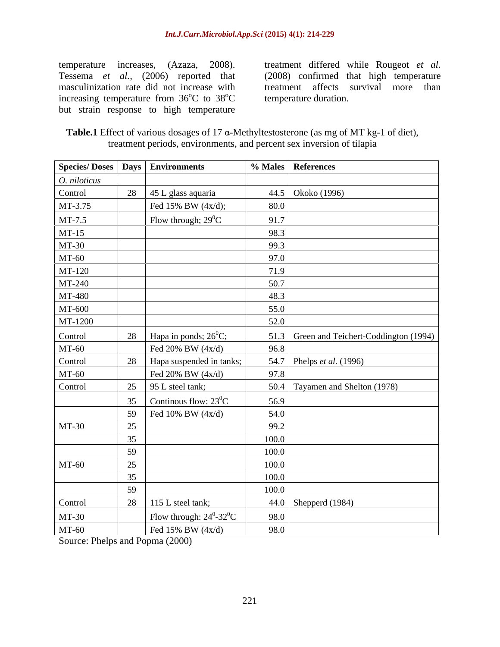increasing temperature from  $36^{\circ}$ C to  $38^{\circ}$ C but strain response to high temperature

temperature increases, (Azaza, 2008). treatment differed while Rougeot *et al.* Tessema *et al.,* (2006) reported that (2008) confirmed that high temperature masculinization rate did not increase with treatment affects survival more than  $\rm ^{o}C$  to 38 $\rm ^{o}C$  temperature duration. <sup>o</sup>C temperature duration.

| Table.1 Effect of va<br>$\sim$ $\sim$<br>$\gamma$ <sup>7</sup> $\alpha$ -Methyltestosterone (as mg of MT kg-1 $\sim$<br>$\gamma$ various dosages of $1_{\ell}$ .<br>of diet), |  |
|-------------------------------------------------------------------------------------------------------------------------------------------------------------------------------|--|
| , environments, and percent sex inversion of tilapia<br>treatment periods, e<br>$\blacksquare$                                                                                |  |

|              |    | Species/Doses   Days   Environments           |       | % Males   References                      |
|--------------|----|-----------------------------------------------|-------|-------------------------------------------|
| O. niloticus |    |                                               |       |                                           |
| Control      |    | 28 45 L glass aquaria                         |       | 44.5   Okoko (1996)                       |
| MT-3.75      |    | Fed 15% BW (4x/d);                            | 80.0  |                                           |
| MT-7.5       |    | Flow through; $29^0C$                         | 91.7  |                                           |
| MT-15        |    |                                               | 98.3  |                                           |
| MT-30        |    |                                               | 99.3  |                                           |
| MT-60        |    |                                               | 97.0  |                                           |
| MT-120       |    |                                               | 71.9  |                                           |
| MT-240       |    |                                               | 50.7  |                                           |
| MT-480       |    |                                               | 48.3  |                                           |
| MT-600       |    |                                               | 55.0  |                                           |
| MT-1200      |    |                                               | 52.0  |                                           |
| Control      |    | 28   Hapa in ponds; $26^{\circ}$ C;           |       | 51.3 Green and Teichert-Coddington (1994) |
| <b>MT-60</b> |    | Fed 20% BW $(4x/d)$                           | 96.8  |                                           |
| Control      |    | 28 Hapa suspended in tanks;                   |       | 54.7 Phelps <i>et al.</i> (1996)          |
| <b>MT-60</b> |    | Fed 20% BW $(4x/d)$                           | 97.8  |                                           |
| Control      |    | 25 $\Big $ 95 L steel tank;                   |       | 50.4 Tayamen and Shelton (1978)           |
|              |    | 35 Continuous flow: $23^{\circ}$ C            | 56.9  |                                           |
|              |    | 59 Fed 10% BW $(4x/d)$                        | 54.0  |                                           |
| MT-30        | 25 |                                               | 99.2  |                                           |
|              | 35 |                                               | 100.0 |                                           |
|              | 59 |                                               | 100.0 |                                           |
| <b>MT-60</b> | 25 |                                               | 100.0 |                                           |
|              | 35 |                                               | 100.0 |                                           |
|              | 59 |                                               | 100.0 |                                           |
| Control      | 28 | 115 L steel tank;                             |       | 44.0 Shepperd (1984)                      |
| MT-30        |    | Flow through: $24^{\circ}$ -32 <sup>°</sup> C | 98.0  |                                           |
| MT-60        |    | Fed 15% BW (4x/d)                             | 98.0  |                                           |

Source: Phelps and Popma (2000)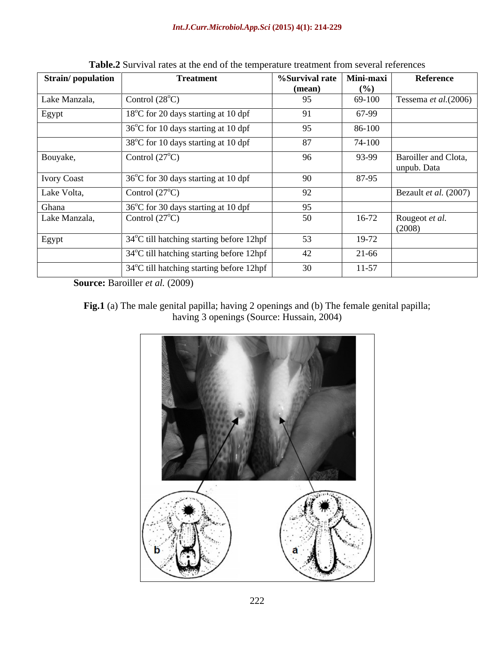| <b>Strain/population</b> | <b>Treatment</b>                         | $%$ Survival rate | Mini-maxi | Reference                           |
|--------------------------|------------------------------------------|-------------------|-----------|-------------------------------------|
|                          |                                          | (mean)            | $($ %)    |                                     |
| Lake Manzala,            | Control $(28^{\circ}C)$                  | 95                | 69-100    | Tessema et al.(2006)                |
| Egypt                    | 18°C for 20 days starting at 10 dpf      | 91                | 67-99     |                                     |
|                          | 36°C for 10 days starting at 10 dpf      | 95                | 86-100    |                                     |
|                          | 38°C for 10 days starting at 10 dpf      | 87                | 74-100    |                                     |
| Bouyake,                 | Control $(27^{\circ}C)$                  | 96                | 93-99     | Baroiller and Clota,<br>unpub. Data |
| <b>Ivory Coast</b>       | 36°C for 30 days starting at 10 dpf      | 90                | 87-95     |                                     |
| Lake Volta,              | Control $(27^{\circ}C)$                  | 92                |           | Bezault et al. (2007)               |
| Ghana                    | 36°C for 30 days starting at 10 dpf      | 95                |           |                                     |
| Lake Manzala,            | Control $(27^{\circ}C)$                  | 50                | $16-72$   | Rougeot et al.<br>(2008)            |
| Egypt                    | 34°C till hatching starting before 12hpf | 53                | 19-72     |                                     |
|                          | 34°C till hatching starting before 12hpf | 42                | 21-66     |                                     |
|                          | 34°C till hatching starting before 12hpf | 30                | $11-57$   |                                     |

**Table.2** Survival rates at the end of the temperature treatment from several references

**Source:** Baroiller *et al.* (2009)

**Fig.1** (a) The male genital papilla; having 2 openings and (b) The female genital papilla; having 3 openings (Source: Hussain, 2004)

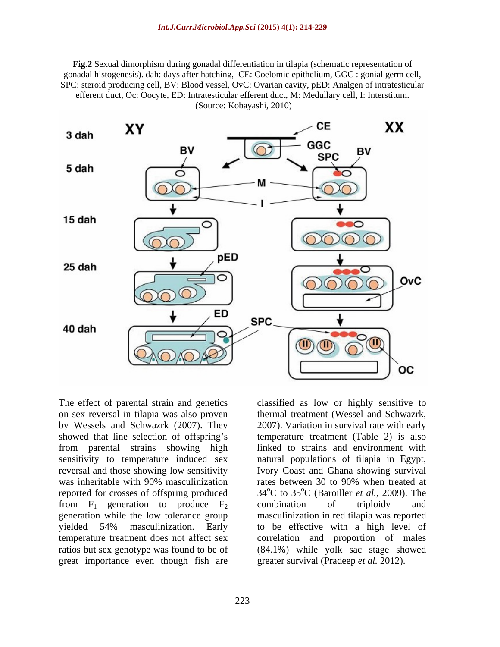**Fig.2** Sexual dimorphism during gonadal differentiation in tilapia (schematic representation of gonadal histogenesis). dah: days after hatching, CE: Coelomic epithelium, GGC : gonial germ cell, SPC: steroid producing cell, BV: Blood vessel, OvC: Ovarian cavity, pED: Analgen of intratesticular efferent duct, Oc: Oocyte, ED: Intratesticular efferent duct, M: Medullary cell, I: Interstitum. (Source: Kobayashi, 2010)



on sex reversal in tilapia was also proven thermal treatment (Wessel and Schwazrk, by Wessels and Schwazrk (2007). They showed that line selection of offspring's temperature treatment (Table 2) is also from parental strains showing high sensitivity to temperature induced sex reversal and those showing low sensitivity Ivory Coast and Ghana showing survival was inheritable with 90% masculinization reported for crosses of offspring produced  $34^{\circ}$ C to  $35^{\circ}$ C (Baroiller *et al.*, 2009). The from  $F_1$  generation to produce  $F_2$  combination of triploidy and generation while the low tolerance group yielded 54% masculinization. Early to be effective with a high level of temperature treatment does not affect sex correlation and proportion of males ratios but sex genotype was found to be of (84.1%) while yolk sac stage showed great importance even though fish are

The effect of parental strain and genetics classified as low or highly sensitive to 2007). Variation in survival rate with early linked to strains and environment with natural populations of tilapia in Egypt, rates between 30 to 90% when treated at oC (Baroiller *et al.,* 2009). The combination of triploidy and masculinization in red tilapia was reported greater survival (Pradeep *et al.* 2012).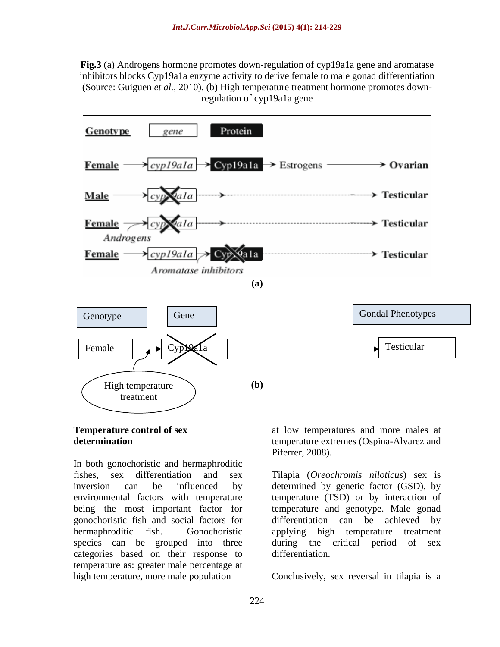**Fig.3** (a) Androgens hormone promotes down-regulation of cyp19a1a gene and aromatase inhibitors blocks Cyp19a1a enzyme activity to derive female to male gonad differentiation (Source: Guiguen *et al.,* 2010), (b) High temperature treatment hormone promotes downregulation of cyp19a1a gene



In both gonochoristic and hermaphroditic fishes, sex differentiation and sex Tilapia (*Oreochromis niloticus*) sex is inversion can be influenced by determined by genetic factor (GSD), by environmental factors with temperature temperature (TSD) or by interaction of being the most important factor for temperature and genotype. Male gonad gonochoristic fish and social factors for hermaphroditic fish. Gonochoristic applying high temperature treatment species can be grouped into three categories based on their response to temperature as: greater male percentage at high temperature, more male population Conclusively, sex reversal in tilapia is a

**Temperature control of sex**  at low temperatures and more males at **determination** temperature extremes (Ospina-Alvarez and Piferrer, 2008).

> differentiation can be achieved during the critical period of sex differentiation.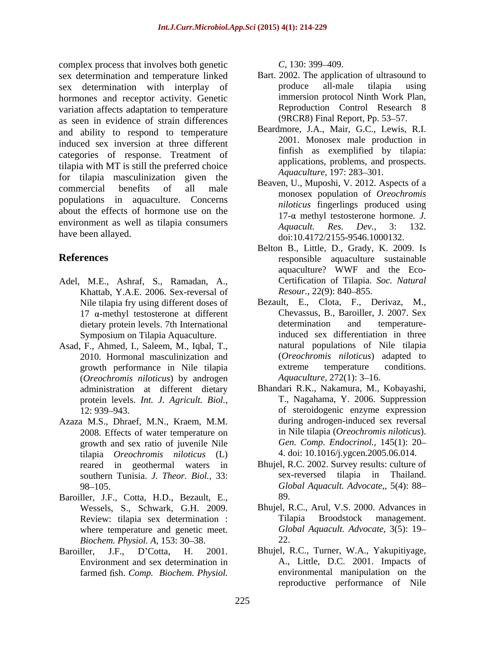complex process that involves both genetic  $C$ , 130: 399–409. sex determination and temperature linked<br>sex determination with internal of the produce all-male sex determination with interplay of produce all-male tilapia using hormones and receptor activity. Genetic variation affects adaptation to temperature as seen in evidence of strain differences and ability to respond to temperature induced sex inversion at three different categories of response. Treatment of tilapia with MT is still the preferred choice for tilapia masculinization given the commercial benefits of all male  $\frac{\text{backward}}{\text{္}$  beaven, 0., Muposin, v. 2012. Aspects of a populations in aquaculture. Concerns about the effects of hormone use on the environment as well as tilapia consumers<br>Aquacult. Res. Dev., 3: 132. **Excepterior in the shellow shellow be the content of the shellow of the start of the start of the start of the start of the start of the start of the start of the start of the start of the start of the start of the start** 

- Adel, M.E., Ashraf, S., Ramadan, A., Khattab, Y.A.E. 2006. Sex-reversal of Resour., 22(9): 840-855. Nile tilapia fry using different doses of  $17$  α-methyl testosterone at different<br>dietary protein levels 7th International determination Symposium on Tilapia Aquaculture.
- Asad, F., Ahmed, I., Saleem, M., Iqbal, T., 2010. Hormonal masculinization and (*Oreochromis niloticus*) by androgen administration at different dietary protein levels. *Int. J. Agricult. Biol.,*
- Azaza M.S., Dhraef, M.N., Kraem, M.M. 2008. Effects of water temperature on growth and sex ratio of juvenile Nile tilapia *Oreochromis niloticus* (L) reared in geothermal waters in southern Tunisia. *J. Theor. Biol.,* 33:
- Baroiller, J.F., Cotta, H.D., Bezault, E., 89. where temperature and genetic meet. *Biochem. Physiol. A,* 153: 30–38. 22.
- 

- Bart. 2002. The application of ultrasound to produce all-male tilapia using immersion protocol Ninth Work Plan, Reproduction Control Research 8 (9RCR8) Final Report, Pp. 53–57.
- Beardmore, J.A., Mair, G.C., Lewis, R.I. 2001. Monosex male production in finfish as exemplified by tilapia: applications, problems, and prospects. *Aquaculture,* 197: 283-301.
- have been allayed.<br>doi:10.4172/2155-9546.1000132. Beaven, U., Muposhi, V. 2012. Aspects of a monosex population of *Oreochromis niloticus* fingerlings produced using  $17-\alpha$  methyl testosterone hormone. *J*. *Aquacult. Res. Dev.,* 3: 132.
- **References** responsible aquaculture sustainable Belton B., Little, D., Grady, K. 2009. Is aquaculture? WWF and the Eco- Certification of Tilapia. *Soc. Natural Resour.,* 22(9): 840–855.
	- dietary protein levels. 7th International determination and temperaturegrowth performance in Nile tilapia extreme temperature conditions.<br>(*Oreochromis niloticus*) by androgen *Aquaculture*, 272(1): 3–16. Bezault, E., Clota, F., Derivaz, M., Chevassus, B., Baroiller, J. 2007. Sex determination and temperatureinduced sex differentiation in three natural populations of Nile tilapia (*Oreochromis niloticus*) adapted to extreme temperature conditions. *Aquaculture,* 272(1): 3–16.
	- 12: 939 943. of steroidogenic enzyme expression Bhandari R.K., Nakamura, M., Kobayashi, T., Nagahama, Y. 2006. Suppression during androgen-induced sex reversal in Nile tilapia (*Oreochromis niloticus*). *Gen. Comp. Endocrinol.,* 145(1): 20 4. doi: 10.1016/j.ygcen.2005.06.014.
	- 98 105. *Global Aquacult. Advocate,*, 5(4): 88 Bhujel, R.C. 2002. Survey results: culture of sex-reversed tilapia in Thailand. 89.
	- Wessels, S., Schwark, G.H. 2009. Bhujel, R.C., Arul, V.S. 2000. Advances in Review: tilapia sex determination : Tilapia Broodstock management. Tilapia Broodstock management. *Global Aquacult. Advocate,* 3(5): 19 22.
- Baroiller, J.F., D'Cotta, H. 2001. Bhujel, R.C., Turner, W.A., Yakupitiyage, Environment and sex determination in A., Little, D.C. 2001. Impacts of environmental manipulation on the reproductive performance of Nile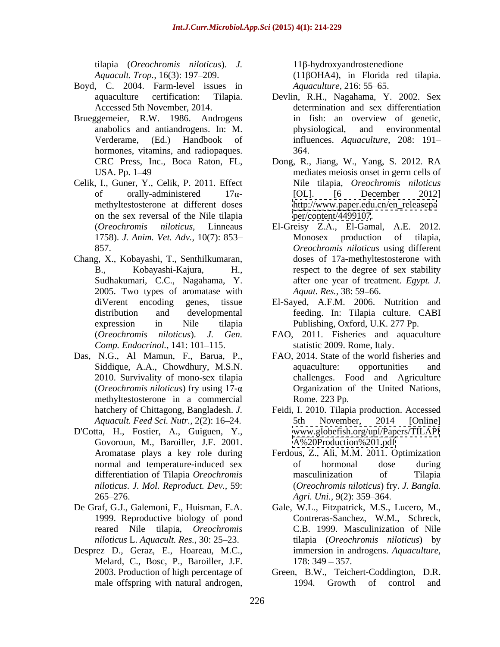tilapia (*Oreochromis niloticus*). *J.* 

- Boyd, C. 2004. Farm-level issues in *Aquaculture*, 216: 55–65.
- Brueggemeier, R.W. 1986. Androgens hormones, vitamins, and radiopaques. 364.
- Celik, I., Guner, Y., Celik, P. 2011. Effect methyltestosterone at different doses on the sex reversal of the Nile tilapia
- Chang, X., Kobayashi, T., Senthilkumaran, Sudhakumari, C.C., Nagahama, Y. 2005. Two types of aromatase with Aquat. Res., 38:59–66. *Comp. Endocrinol.,* 141: 101-115.
- 2010. Survivality of mono-sex tilapia methyltestosterone in a commercial
- D'Cotta, H., Fostier, A., Guiguen, Y., Govoroun, M., Baroiller, J.F. 2001. 265–276. Agri. Uni., 9(2): 359–364.
- 
- Desprez D., Geraz, E., Hoareau, M.C., Melard, C., Bosc, P., Baroiller, J.F.

 $11\beta$ -hydroxyandrostenedione

*Aquacult. Trop.*, 16(3): 197–209. (11βOHA4), in Florida red tilapia. *Aquaculture,* 216: 55–65.

- aquaculture certification: Tilapia. Devlin, R.H., Nagahama, Y. 2002. Sex Accessed 5th November, 2014. determination and sex differentiation anabolics and antiandrogens. In: M. Verderame, (Ed.) Handbook of influences. *Aquaculture,* 208: 191 in fish: an overview of genetic, physiological, and environmental 364.
- CRC Press, Inc., Boca Raton, FL, Dong, R., Jiang, W., Yang, S. 2012. RA USA. Pp. 1–49 mediates meiosis onset in germ cells of of orally-administered  $17\alpha$ - [OL]. [6 December 2012] Nile tilapia, *Oreochromis niloticus* [OL]. [6 December 2012] [http://www.paper.edu.cn/en\\_releasepa](http://www.paper.edu.cn/en_releasepa) <per/content/4499107>.
- (*Oreochromis niloticus*, Linneaus El-Greisy Z.A., El-Gamal, A.E. 2012. 1758). *J. Anim. Vet. Adv.,* 10(7): 853 857. *Oreochromis niloticus* using different B., Kobayashi-Kajura, H., respect to the degree of sex stability Monosex production of tilapia, doses of 17a-methyltestosterone with after one year of treatment. *Egypt. J. Aquat. Res.,* 38: 59–66.
- diVerent encoding genes, tissue El-Sayed, A.F.M. 2006. Nutrition and distribution and developmental feeding. In: Tilapia culture. CABI expression in Nile tilapia Publishing, Oxford, U.K. 277 Pp.
- (*Oreochromis niloticus*). *J. Gen.* FAO, 2011. Fisheries and aquaculture statistic 2009. Rome, Italy.
- Das, N.G., Al Mamun, F., Barua, P., FAO, 2014. State of the world fisheries and Siddique, A.A., Chowdhury, M.S.N. aquaculture: opportunities and (*Oreochromis niloticus*) fry using  $17-\alpha$  Organization of the United Nations, aquaculture: opportunities and challenges. Food and Agriculture Rome. 223 Pp.
	- hatchery of Chittagong, Bangladesh. *J.*  Feidi, I. 2010. Tilapia production. Accessed *Aquacult. Feed Sci. Nutr.,* 2(2): 16 24. 5th November, 2014 [Online] [www.globefish.org/upl/Papers/TILAPI](http://www.globefish.org/upl/Papers/TILAPI) <A%20Production%201.pdf>
	- Aromatase plays a key role during Ferdous, Z., Ali, M.M. 2011. Optimization normal and temperature-induced sex bord of hormonal dose during differentiation of Tilapia *Oreochromis niloticus*. *J. Mol. Reproduct. Dev.,* 59: (*Oreochromis niloticus*) fry. *J. Bangla.* of hormonal dose during masculinization of Tilapia *Agri. Uni.,* 9(2): 359–364.
- De Graf, G.J., Galemoni, F., Huisman, E.A. Gale, W.L., Fitzpatrick, M.S., Lucero, M., 1999. Reproductive biology of pond Contreras-Sanchez, W.M., Schreck, reared Nile tilapia, *Oreochromis*  C.B. 1999. Masculinization of Nile *niloticus* L. *Aquacult. Res.,* 30: 25 23. tilapia (*Oreochromis niloticus*) by immersion in androgens. *Aquaculture,*  $178: 349 - 357.$ 
	- 2003. Production of high percentage of Green, B.W., Teichert-Coddington, D.R. male offspring with natural androgen, 1994. Growth of control and 1994. Growth of control and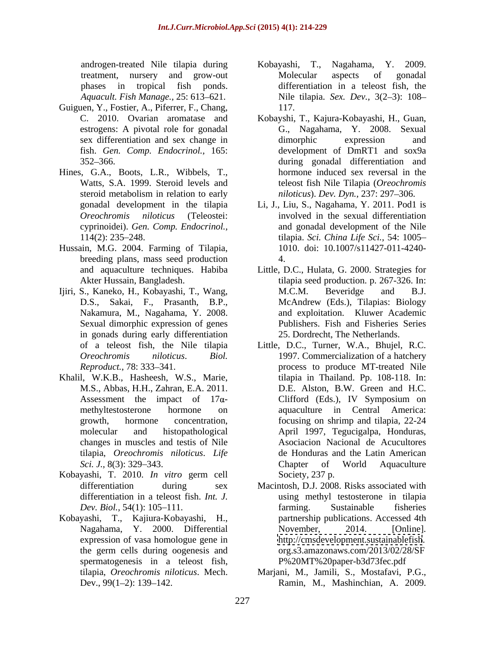androgen-treated Nile tilapia during

- Guiguen, Y., Fostier, A., Piferrer, F., Chang, fish. *Gen. Comp. Endocrinol.,* 165:
- Hines, G.A., Boots, L.R., Wibbels, T., cyprinoidei). *Gen. Comp. Endocrinol.,*
- Hussain, M.G. 2004. Farming of Tilapia, breeding plans, mass seed production 4.
- Ijiri, S., Kaneko, H., Kobayashi, T., Wang, Sexual dimorphic expression of genes in gonads during early differentiation
- Khalil, W.K.B., Hasheesh, W.S., Marie, changes in muscles and testis of Nile tilapia, *Oreochromis niloticus*. *Life*
- Kobayashi, T. 2010. *In vitro* germ cell
- Kobayashi, T., Kajiura-Kobayashi, H., partnership publications. Accessed 4th expression of vasa homologue gene in spermatogenesis in a teleost fish,
- treatment, nursery and grow-out phases in tropical fish ponds. differentiation in a teleost fish, the Aquacult. Fish Manage., 25: 613–621. Nile tilapia. *Sex. Dev.*, 3(2–3): 108– Nagahama, Y. 2009. Molecular aspects of gonadal 117.
- C. 2010. Ovarian aromatase and Kobayshi, T., Kajura-Kobayashi, H., Guan, estrogens: A pivotal role for gonadal G., Nagahama, Y. 2008. Sexual sex differentiation and sex change in the dimorphic expression and 352 366. during gonadal differentiation and Watts, S.A. 1999. Steroid levels and teleost fish Nile Tilapia (*Oreochromis*  steroid metabolism in relation to early *niloticus*). Dev. Dyn., 237: 297–306. dimorphic expression and development of DmRT1 and sox9a hormone induced sex reversal in the *niloticus*). *Dev. Dyn.,* 237: 297 306.
- gonadal development in the tilapia Li, J., Liu, S., Nagahama, Y. 2011. Pod1 is *Oreochromis niloticus* (Teleostei: involved in the sexual differentiation 114(2): 235 248. tilapia. *Sci. China Life Sci.,* 54: 1005 and gonadal development of the Nile 1010. doi: 10.1007/s11427-011-4240- 4.
- and aquaculture techniques. Habiba Little, D.C., Hulata, G. 2000. Strategies for Akter Hussain, Bangladesh. tilapia seed production. p. 267-326. In: D.S., Sakai, F., Prasanth, B.P., McAndrew (Eds.), Tilapias: Biology Nakamura, M., Nagahama, Y. 2008. <br>and exploitation. Kluwer Academic M.C.M. Beveridge and B.J. Publishers. Fish and Fisheries Series 25. Dordrecht, The Netherlands.
- of a teleost fish, the Nile tilapia Little, D.C., Turner, W.A., Bhujel, R.C. *Oreochromis niloticus*. *Biol.*  1997. Commercialization of a hatchery *Reproduct.*, 78: 333–341. The process to produce MT-treated Nile M.S., Abbas, H.H., Zahran, E.A. 2011. D.E. Alston, B.W. Green and H.C. Assessment the impact of  $17\alpha$ - Clifford (Eds.), IV Symposium on methyltestosterone hormone on aquaculture in Central America: growth, hormone concentration, focusing on shrimp and tilapia, 22-24 molecular and histopathological April 1997, Tegucigalpa, Honduras, *Sci. J.*, 8(3): 329–343. Chapter of World Aquaculture tilapia in Thailand. Pp. 108-118. In: Clifford (Eds.), IV Symposium on Asociacion Nacional de Acucultores de Honduras and the Latin American Chapter of World Aquaculture Society, 237 p.
- differentiation during sex Macintosh, D.J. 2008. Risks associated with differentiation in a teleost fish. *Int. J.* using methyl testosterone in tilapia<br>Dev. Biol., 54(1): 105–111. farming. Sustainable fisheries Nagahama, Y. 2000. Differential November, 2014. [Online]. the germ cells during oogenesis and org.s3.amazonaws.com/2013/02/28/SF using methyl testosterone in tilapia farming. Sustainable fisheries November, 2014. [Online]. <http://cmsdevelopment.sustainablefish>. org.s3.amazonaws.com/2013/02/28/SF P%20MT%20paper-b3d73fec.pdf
- tilapia, *Oreochromis niloticus*. Mech. Marjani, M., Jamili, S., Mostafavi, P.G., Dev., 99(1–2): 139–142. Ramin, M., Mashinchian, A. 2009.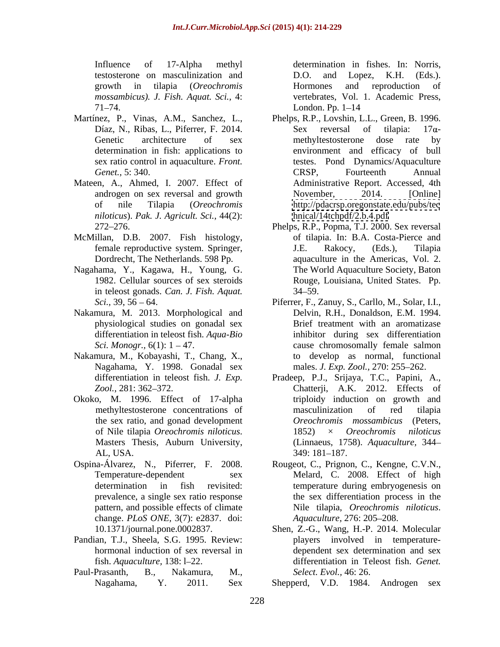testosterone on masculinization and  $D.O.$  and  $Lopez$ , K.H. (Eds.).

- Martínez, P., Vinas, A.M., Sanchez, L., Phelps, R.P., Lovshin, L.L., Green, B. 1996. determination in fish: applications to sex ratio control in aquaculture. *Front.*
- Mateen, A., Ahmed, I. 2007. Effect of *niloticus*). *Pak. J. Agricult. Sci.,* 44(2):
- McMillan, D.B. 2007. Fish histology, Dordrecht, The Netherlands. 598 Pp.
- Nagahama, Y., Kagawa, H., Young, G. in teleost gonads. *Can. J. Fish. Aquat.*
- Nakamura, M. 2013. Morphological and physiological studies on gonadal sex differentiation in teleost fish. *Aqua-Bio*
- Nakamura, M., Kobayashi, T., Chang, X., Nagahama, Y. 1998. Gonadal sex
- Okoko, M. 1996. Effect of 17-alpha the sex ratio, and gonad development
- prevalence, a single sex ratio response change. *PLoS ONE,* 3(7): e2837. doi:
- Pandian, T.J., Sheela, S.G. 1995. Review:
- 

Influence of 17-Alpha methyl determination in fishes. In: Norris, growth in tilapia (*Oreochromis mossambicus). J. Fish. Aquat. Sci.,* 4: vertebrates, Vol. 1. Academic Press, 71–74. London. Pp. 1–14 D.O. and Lopez, K.H. (Eds.). Hormones and reproduction of London. Pp.  $1-14$ 

- Díaz, N., Ribas, L., Piferrer, F. 2014. Sex reversal of tilapia:  $17\alpha$ -Genetic architecture of sex methyltestosterone dose rate by *Genet.,* 5: 340. androgen on sex reversal and growth Movember, 2014. [Online] of nile Tilapia (*Oreochromis*  <http://pdacrsp.oregonstate.edu/pubs/tec> Phelps, R.P., Lovshin, L.L., Green, B. 1996.<br>Sex reversal of tilapia:  $17\alpha$ methyltestosterone dose rate by environment and efficacy of bull testes. Pond Dynamics/Aquaculture CRSP, Fourteenth Annual Administrative Report. Accessed, 4th November, 2014. [Online] <hnical/14tchpdf/2.b.4.pdf>
- 272 276. Phelps, R.P., Popma, T.J. 2000. Sex reversal female reproductive system. Springer, J.E. Rakocy, (Eds.), Tilapia 1982. Cellular sources of sex steroids Rouge, Louisiana, United States. Pp. of tilapia. In: B.A. Costa-Pierce and J.E. Rakocy, (Eds.), Tilapia aquaculture in the Americas, Vol. 2. The World Aquaculture Society, Baton  $34 - 59.$
- *Sci.*, 39, 56 64. **Piferrer, F., Zanuy, S., Carllo, M., Solar, I.I.,** *Sci. Monogr.*, 6(1): 1 – 47. cause chromosomally female salmon Delvin, R.H., Donaldson, E.M. 1994. Brief treatment with an aromatizase inhibitor during sex differentiation to develop as normal, functional males. *J. Exp. Zool.*, 270: 255–262.
- differentiation in teleost fish. *J. Exp.* Pradeep, P.J., Srijaya, T.C., Papini, A., Zool., 281: 362–372. **Chatterji**, A.K. 2012. Effects of methyltestosterone concentrations of of Nile tilapia *Oreochromis niloticus*. Masters Thesis, Auburn University, AL, USA. 349: 181–187. triploidy induction on growth and masculinization of red tilapia *Oreochromis mossambicus* (Peters, 1852) × *Oreochromis niloticus* (Linnaeus, 1758). *Aquaculture,* 344 349: 181 187.
- Ospina-Álvarez, N., Piferrer, F. 2008. Rougeot, C., Prignon, C., Kengne, C.V.N., Temperature-dependent sex Melard, C. 2008. Effect of high determination in fish revisited: temperature during embryogenesis on pattern, and possible effects of climate Nile tilapia, *Oreochromis niloticus*. the sex differentiation process in the *Aquaculture,* 276: 205 208.
- 10.1371/journal.pone.0002837. Shen, Z.-G., Wang, H.-P. 2014. Molecular hormonal induction of sex reversal in dependent sex determination and sex fish. *Aquaculture*, 138: 1–22. differentiation in Teleost fish. *Genet*. Paul-Prasanth, B., Nakamura, M., *Select. Evol.,* 46: 26. players involved in temperature-

Nagahama, Y. 2011. Sex Shepperd, V.D. 1984. Androgen sex